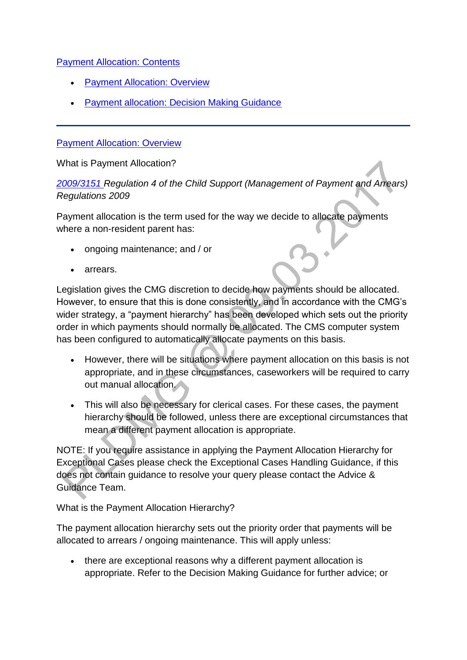### [Payment Allocation: Contents](http://np-cmg-sharepoint.link2.gpn.gov.uk/sites/policy-law-and-decision-making-guidance/Pages)

- [Payment Allocation: Overview](http://np-cmg-sharepoint.link2.gpn.gov.uk/sites/policy-law-and-decision-making-guidance/Pages/Payment-Allocation.aspx#overview)
- [Payment allocation: Decision Making Guidance](http://np-cmg-sharepoint.link2.gpn.gov.uk/sites/policy-law-and-decision-making-guidance/Pages/Payment-Allocation.aspx#dmg)

#### [Payment Allocation: Overview](http://np-cmg-sharepoint.link2.gpn.gov.uk/sites/policy-law-and-decision-making-guidance/Pages)

What is Payment Allocation?

*[2009/3151 R](http://www.legislation.gov.uk/uksi/2009/3151/contents)egulation 4 of the Child Support (Management of Payment and Arrears) Regulations 2009*

Payment allocation is the term used for the way we decide to allocate payments where a non-resident parent has:

- ongoing maintenance; and / or
- arrears.

Legislation gives the CMG discretion to decide how payments should be allocated. However, to ensure that this is done consistently, and in accordance with the CMG's wider strategy, a "payment hierarchy" has been developed which sets out the priority order in which payments should normally be allocated. The CMS computer system has been configured to automatically allocate payments on this basis.

- However, there will be situations where payment allocation on this basis is not appropriate, and in these circumstances, caseworkers will be required to carry out manual allocation.
- This will also be necessary for clerical cases. For these cases, the payment hierarchy should be followed, unless there are exceptional circumstances that mean a different payment allocation is appropriate.

NOTE: If you require assistance in applying the Payment Allocation Hierarchy for Exceptional Cases please check the Exceptional Cases Handling Guidance, if this does not contain guidance to resolve your query please contact the Advice & Guidance Team.

What is the Payment Allocation Hierarchy?

The payment allocation hierarchy sets out the priority order that payments will be allocated to arrears / ongoing maintenance. This will apply unless:

 there are exceptional reasons why a different payment allocation is appropriate. Refer to the Decision Making Guidance for further advice; or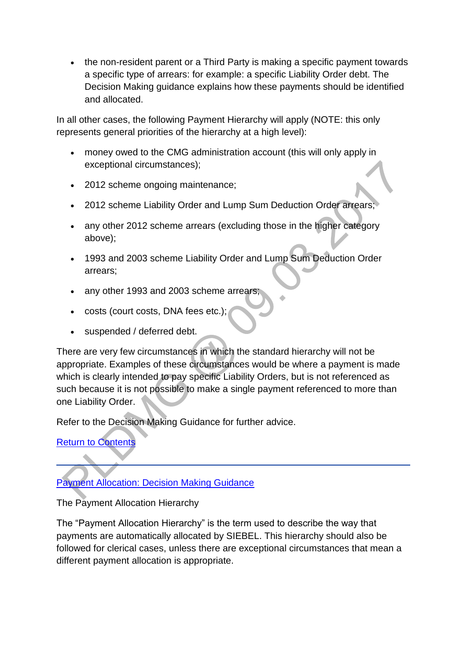• the non-resident parent or a Third Party is making a specific payment towards a specific type of arrears: for example: a specific Liability Order debt. The Decision Making guidance explains how these payments should be identified and allocated.

In all other cases, the following Payment Hierarchy will apply (NOTE: this only represents general priorities of the hierarchy at a high level):

- money owed to the CMG administration account (this will only apply in exceptional circumstances);
- 2012 scheme ongoing maintenance:
- 2012 scheme Liability Order and Lump Sum Deduction Order arrears;
- any other 2012 scheme arrears (excluding those in the higher category above);
- 1993 and 2003 scheme Liability Order and Lump Sum Deduction Order arrears;
- any other 1993 and 2003 scheme arrears;
- costs (court costs, DNA fees etc.);
- suspended / deferred debt.

There are very few circumstances in which the standard hierarchy will not be appropriate. Examples of these circumstances would be where a payment is made which is clearly intended to pay specific Liability Orders, but is not referenced as such because it is not possible to make a single payment referenced to more than one Liability Order.

Refer to the Decision Making Guidance for further advice.

[Return to Contents](http://np-cmg-sharepoint.link2.gpn.gov.uk/sites/policy-law-and-decision-making-guidance/Pages/Payment-Allocation.aspx#contents)

[Payment Allocation: Decision Making Guidance](http://np-cmg-sharepoint.link2.gpn.gov.uk/sites/policy-law-and-decision-making-guidance/Pages)

The Payment Allocation Hierarchy

The "Payment Allocation Hierarchy" is the term used to describe the way that payments are automatically allocated by SIEBEL. This hierarchy should also be followed for clerical cases, unless there are exceptional circumstances that mean a different payment allocation is appropriate.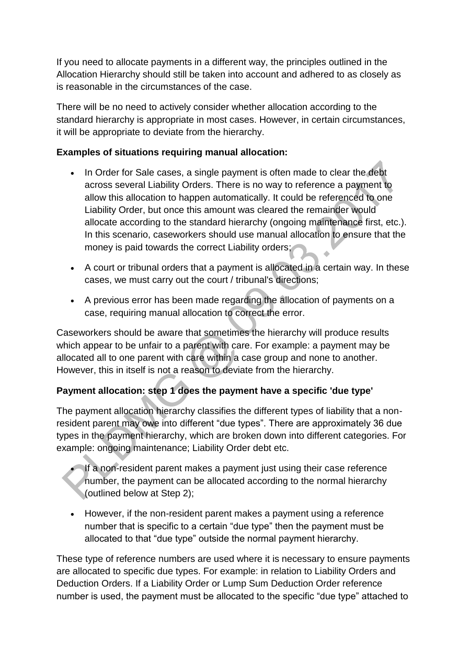If you need to allocate payments in a different way, the principles outlined in the Allocation Hierarchy should still be taken into account and adhered to as closely as is reasonable in the circumstances of the case.

There will be no need to actively consider whether allocation according to the standard hierarchy is appropriate in most cases. However, in certain circumstances, it will be appropriate to deviate from the hierarchy.

# **Examples of situations requiring manual allocation:**

- In Order for Sale cases, a single payment is often made to clear the debt across several Liability Orders. There is no way to reference a payment to allow this allocation to happen automatically. It could be referenced to one Liability Order, but once this amount was cleared the remainder would allocate according to the standard hierarchy (ongoing maintenance first, etc.). In this scenario, caseworkers should use manual allocation to ensure that the money is paid towards the correct Liability orders;
- A court or tribunal orders that a payment is allocated in a certain way. In these cases, we must carry out the court / tribunal's directions;
- A previous error has been made regarding the allocation of payments on a case, requiring manual allocation to correct the error.

Caseworkers should be aware that sometimes the hierarchy will produce results which appear to be unfair to a parent with care. For example: a payment may be allocated all to one parent with care within a case group and none to another. However, this in itself is not a reason to deviate from the hierarchy.

# **Payment allocation: step 1 does the payment have a specific 'due type'**

The payment allocation hierarchy classifies the different types of liability that a nonresident parent may owe into different "due types". There are approximately 36 due types in the payment hierarchy, which are broken down into different categories. For example: ongoing maintenance; Liability Order debt etc.

 If a non-resident parent makes a payment just using their case reference number, the payment can be allocated according to the normal hierarchy (outlined below at Step 2);

 However, if the non-resident parent makes a payment using a reference number that is specific to a certain "due type" then the payment must be allocated to that "due type" outside the normal payment hierarchy.

These type of reference numbers are used where it is necessary to ensure payments are allocated to specific due types. For example: in relation to Liability Orders and Deduction Orders. If a Liability Order or Lump Sum Deduction Order reference number is used, the payment must be allocated to the specific "due type" attached to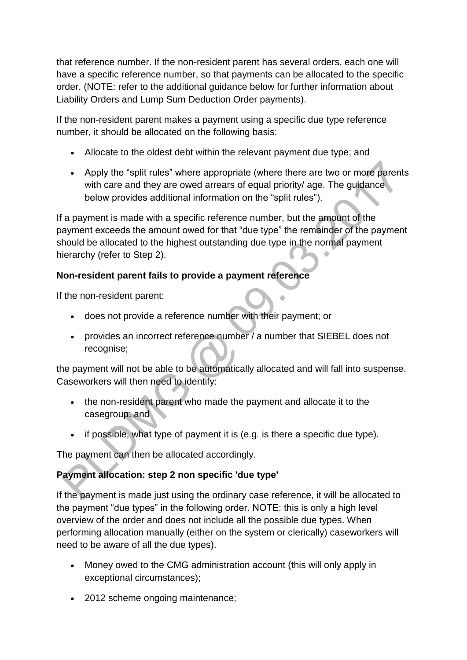that reference number. If the non-resident parent has several orders, each one will have a specific reference number, so that payments can be allocated to the specific order. (NOTE: refer to the additional guidance below for further information about Liability Orders and Lump Sum Deduction Order payments).

If the non-resident parent makes a payment using a specific due type reference number, it should be allocated on the following basis:

- Allocate to the oldest debt within the relevant payment due type; and
- Apply the "split rules" where appropriate (where there are two or more parents with care and they are owed arrears of equal priority/ age. The quidance below provides additional information on the "split rules").

If a payment is made with a specific reference number, but the amount of the payment exceeds the amount owed for that "due type" the remainder of the payment should be allocated to the highest outstanding due type in the normal payment hierarchy (refer to Step 2).

# **Non-resident parent fails to provide a payment reference**

If the non-resident parent:

- does not provide a reference number with their payment; or
- provides an incorrect reference number / a number that SIEBEL does not recognise;

the payment will not be able to be automatically allocated and will fall into suspense. Caseworkers will then need to identify:

- the non-resident parent who made the payment and allocate it to the casegroup; and
- if possible, what type of payment it is (e.g. is there a specific due type).

The payment can then be allocated accordingly.

# **Payment allocation: step 2 non specific 'due type'**

If the payment is made just using the ordinary case reference, it will be allocated to the payment "due types" in the following order. NOTE: this is only a high level overview of the order and does not include all the possible due types. When performing allocation manually (either on the system or clerically) caseworkers will need to be aware of all the due types).

- Money owed to the CMG administration account (this will only apply in exceptional circumstances);
- 2012 scheme ongoing maintenance;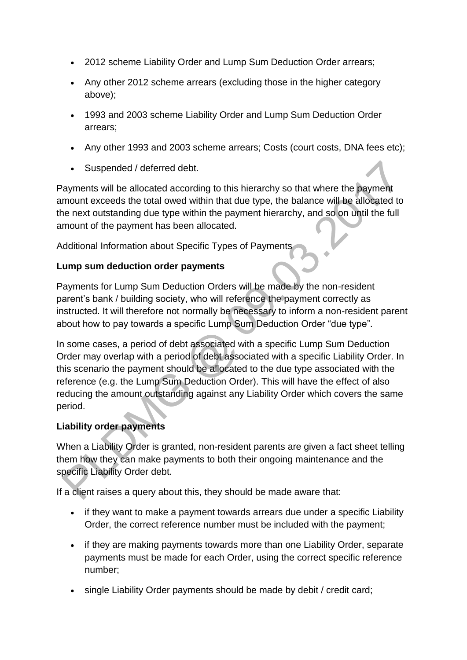- 2012 scheme Liability Order and Lump Sum Deduction Order arrears;
- Any other 2012 scheme arrears (excluding those in the higher category above);
- 1993 and 2003 scheme Liability Order and Lump Sum Deduction Order arrears;
- Any other 1993 and 2003 scheme arrears; Costs (court costs, DNA fees etc);
- Suspended / deferred debt.

Payments will be allocated according to this hierarchy so that where the payment amount exceeds the total owed within that due type, the balance will be allocated to the next outstanding due type within the payment hierarchy, and so on until the full amount of the payment has been allocated.

Additional Information about Specific Types of Payments

# **Lump sum deduction order payments**

Payments for Lump Sum Deduction Orders will be made by the non-resident parent's bank / building society, who will reference the payment correctly as instructed. It will therefore not normally be necessary to inform a non-resident parent about how to pay towards a specific Lump Sum Deduction Order "due type".

In some cases, a period of debt associated with a specific Lump Sum Deduction Order may overlap with a period of debt associated with a specific Liability Order. In this scenario the payment should be allocated to the due type associated with the reference (e.g. the Lump Sum Deduction Order). This will have the effect of also reducing the amount outstanding against any Liability Order which covers the same period.

### **Liability order payments**

When a Liability Order is granted, non-resident parents are given a fact sheet telling them how they can make payments to both their ongoing maintenance and the specific Liability Order debt.

If a client raises a query about this, they should be made aware that:

- if they want to make a payment towards arrears due under a specific Liability Order, the correct reference number must be included with the payment;
- if they are making payments towards more than one Liability Order, separate payments must be made for each Order, using the correct specific reference number;
- single Liability Order payments should be made by debit / credit card;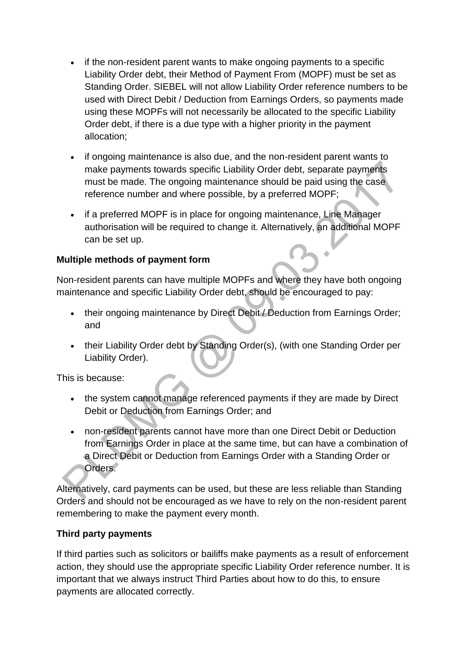- if the non-resident parent wants to make ongoing payments to a specific Liability Order debt, their Method of Payment From (MOPF) must be set as Standing Order. SIEBEL will not allow Liability Order reference numbers to be used with Direct Debit / Deduction from Earnings Orders, so payments made using these MOPFs will not necessarily be allocated to the specific Liability Order debt, if there is a due type with a higher priority in the payment allocation;
- if ongoing maintenance is also due, and the non-resident parent wants to make payments towards specific Liability Order debt, separate payments must be made. The ongoing maintenance should be paid using the case reference number and where possible, by a preferred MOPF;
- if a preferred MOPF is in place for ongoing maintenance, Line Manager authorisation will be required to change it. Alternatively, an additional MOPF can be set up.

# **Multiple methods of payment form**

Non-resident parents can have multiple MOPFs and where they have both ongoing maintenance and specific Liability Order debt, should be encouraged to pay:

- their ongoing maintenance by Direct Debit / Deduction from Earnings Order; and
- their Liability Order debt by Standing Order(s), (with one Standing Order per Liability Order).

This is because:

- the system cannot manage referenced payments if they are made by Direct Debit or Deduction from Earnings Order; and
- non-resident parents cannot have more than one Direct Debit or Deduction from Earnings Order in place at the same time, but can have a combination of a Direct Debit or Deduction from Earnings Order with a Standing Order or Orders.

Alternatively, card payments can be used, but these are less reliable than Standing Orders and should not be encouraged as we have to rely on the non-resident parent remembering to make the payment every month.

# **Third party payments**

If third parties such as solicitors or bailiffs make payments as a result of enforcement action, they should use the appropriate specific Liability Order reference number. It is important that we always instruct Third Parties about how to do this, to ensure payments are allocated correctly.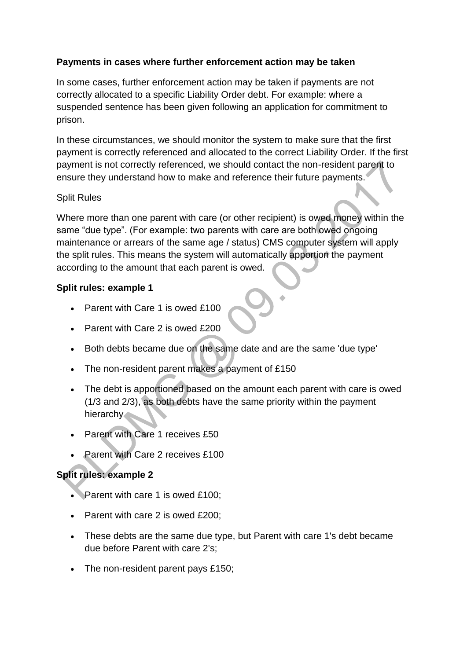# **Payments in cases where further enforcement action may be taken**

In some cases, further enforcement action may be taken if payments are not correctly allocated to a specific Liability Order debt. For example: where a suspended sentence has been given following an application for commitment to prison.

In these circumstances, we should monitor the system to make sure that the first payment is correctly referenced and allocated to the correct Liability Order. If the first payment is not correctly referenced, we should contact the non-resident parent to ensure they understand how to make and reference their future payments.

#### Split Rules

Where more than one parent with care (or other recipient) is owed money within the same "due type". (For example: two parents with care are both owed ongoing maintenance or arrears of the same age / status) CMS computer system will apply the split rules. This means the system will automatically apportion the payment according to the amount that each parent is owed.

#### **Split rules: example 1**

- Parent with Care 1 is owed £100
- Parent with Care 2 is owed £200
- Both debts became due on the same date and are the same 'due type'
- The non-resident parent makes a payment of £150
- The debt is apportioned based on the amount each parent with care is owed (1/3 and 2/3), as both debts have the same priority within the payment hierarchy.
- Parent with Care 1 receives £50
- Parent with Care 2 receives £100

# **Split rules: example 2**

- Parent with care 1 is owed £100:
- Parent with care 2 is owed  $£200;$
- These debts are the same due type, but Parent with care 1's debt became due before Parent with care 2's;
- The non-resident parent pays £150;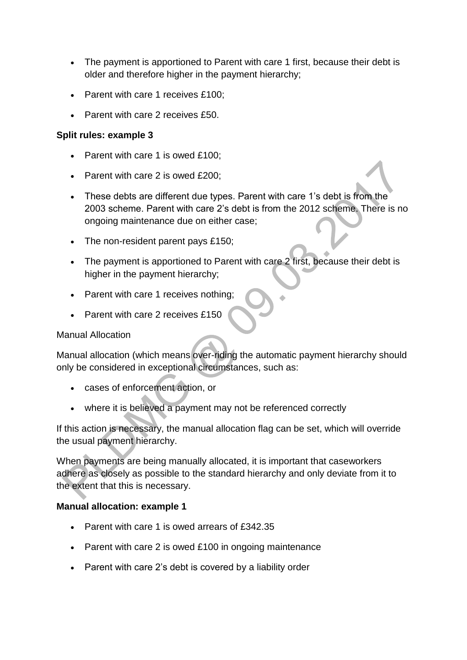- The payment is apportioned to Parent with care 1 first, because their debt is older and therefore higher in the payment hierarchy;
- Parent with care 1 receives £100;
- Parent with care 2 receives £50.

### **Split rules: example 3**

- Parent with care 1 is owed £100;
- Parent with care 2 is owed £200;
- These debts are different due types. Parent with care 1's debt is from the 2003 scheme. Parent with care 2's debt is from the 2012 scheme. There is no ongoing maintenance due on either case;
- The non-resident parent pays £150;
- The payment is apportioned to Parent with care 2 first, because their debt is higher in the payment hierarchy;
- Parent with care 1 receives nothing;
- Parent with care 2 receives £150

### Manual Allocation

Manual allocation (which means over-riding the automatic payment hierarchy should only be considered in exceptional circumstances, such as:

- cases of enforcement action, or
- where it is believed a payment may not be referenced correctly

If this action is necessary, the manual allocation flag can be set, which will override the usual payment hierarchy.

When payments are being manually allocated, it is important that caseworkers adhere as closely as possible to the standard hierarchy and only deviate from it to the extent that this is necessary.

### **Manual allocation: example 1**

- Parent with care 1 is owed arrears of £342.35
- Parent with care 2 is owed £100 in ongoing maintenance
- Parent with care 2's debt is covered by a liability order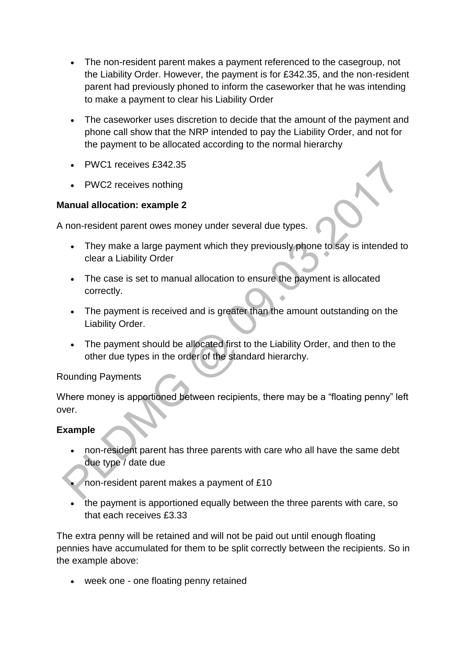- The non-resident parent makes a payment referenced to the casegroup, not the Liability Order. However, the payment is for £342.35, and the non-resident parent had previously phoned to inform the caseworker that he was intending to make a payment to clear his Liability Order
- The caseworker uses discretion to decide that the amount of the payment and phone call show that the NRP intended to pay the Liability Order, and not for the payment to be allocated according to the normal hierarchy
- PWC1 receives £342.35
- PWC2 receives nothing

# **Manual allocation: example 2**

A non-resident parent owes money under several due types.

- They make a large payment which they previously phone to say is intended to clear a Liability Order
- The case is set to manual allocation to ensure the payment is allocated correctly.
- The payment is received and is greater than the amount outstanding on the Liability Order.
- The payment should be allocated first to the Liability Order, and then to the other due types in the order of the standard hierarchy.

### Rounding Payments

Where money is apportioned between recipients, there may be a "floating penny" left over.

### **Example**

- non-resident parent has three parents with care who all have the same debt due type / date due
- non-resident parent makes a payment of £10
- the payment is apportioned equally between the three parents with care, so that each receives £3.33

The extra penny will be retained and will not be paid out until enough floating pennies have accumulated for them to be split correctly between the recipients. So in the example above:

week one - one floating penny retained